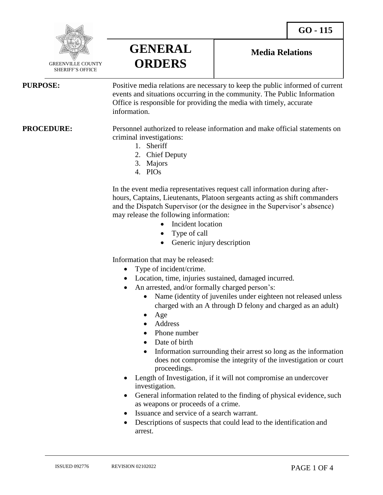**Media Relations**



SHERIFF'S OFFICE

**PURPOSE:** Positive media relations are necessary to keep the public informed of current events and situations occurring in the community. The Public Information Office is responsible for providing the media with timely, accurate information.

**PROCEDURE:** Personnel authorized to release information and make official statements on criminal investigations:

- 1. Sheriff
- 2. Chief Deputy

**GENERAL** 

**ORDERS**

- 3. Majors
- 4. PIOs

In the event media representatives request call information during afterhours, Captains, Lieutenants, Platoon sergeants acting as shift commanders and the Dispatch Supervisor (or the designee in the Supervisor's absence) may release the following information:

- Incident location
- Type of call
- Generic injury description

Information that may be released:

- Type of incident/crime.
- Location, time, injuries sustained, damaged incurred.
- An arrested, and/or formally charged person's:
	- Name (identity of juveniles under eighteen not released unless charged with an A through D felony and charged as an adult)
	- Age
	- Address
	- Phone number
	- Date of birth
	- Information surrounding their arrest so long as the information does not compromise the integrity of the investigation or court proceedings.
- Length of Investigation, if it will not compromise an undercover investigation.
- General information related to the finding of physical evidence, such as weapons or proceeds of a crime.
- Issuance and service of a search warrant.
- Descriptions of suspects that could lead to the identification and arrest.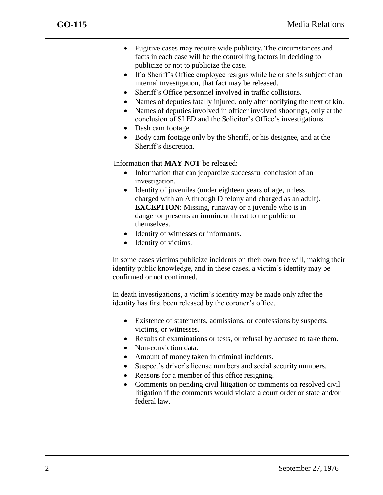- Fugitive cases may require wide publicity. The circumstances and facts in each case will be the controlling factors in deciding to publicize or not to publicize the case.
- If a Sheriff's Office employee resigns while he or she is subject of an internal investigation, that fact may be released.
- Sheriff's Office personnel involved in traffic collisions.
- Names of deputies fatally injured, only after notifying the next of kin.
- Names of deputies involved in officer involved shootings, only at the conclusion of SLED and the Solicitor's Office's investigations.
- Dash cam footage
- Body cam footage only by the Sheriff, or his designee, and at the Sheriff's discretion.

Information that **MAY NOT** be released:

- Information that can jeopardize successful conclusion of an investigation.
- Identity of juveniles (under eighteen years of age, unless charged with an A through D felony and charged as an adult). **EXCEPTION:** Missing, runaway or a juvenile who is in danger or presents an imminent threat to the public or themselves.
- Identity of witnesses or informants.
- Identity of victims.

In some cases victims publicize incidents on their own free will, making their identity public knowledge, and in these cases, a victim's identity may be confirmed or not confirmed.

In death investigations, a victim's identity may be made only after the identity has first been released by the coroner's office.

- Existence of statements, admissions, or confessions by suspects, victims, or witnesses.
- Results of examinations or tests, or refusal by accused to take them.
- Non-conviction data.
- Amount of money taken in criminal incidents.
- Suspect's driver's license numbers and social security numbers.
- Reasons for a member of this office resigning.
- Comments on pending civil litigation or comments on resolved civil litigation if the comments would violate a court order or state and/or federal law.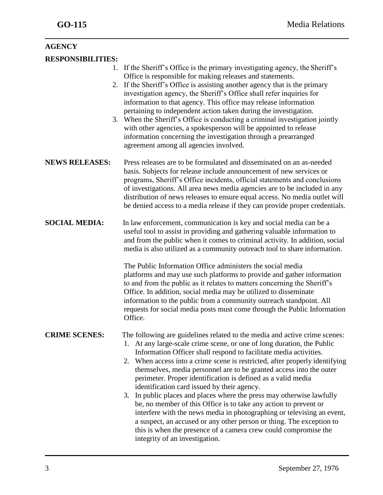| <b>AGENCY</b>            |                                                                                                                                                                                                                                                                                                                                                                                                                                                                                                |
|--------------------------|------------------------------------------------------------------------------------------------------------------------------------------------------------------------------------------------------------------------------------------------------------------------------------------------------------------------------------------------------------------------------------------------------------------------------------------------------------------------------------------------|
| <b>RESPONSIBILITIES:</b> |                                                                                                                                                                                                                                                                                                                                                                                                                                                                                                |
| 1.                       | If the Sheriff's Office is the primary investigating agency, the Sheriff's<br>Office is responsible for making releases and statements.                                                                                                                                                                                                                                                                                                                                                        |
|                          | 2. If the Sheriff's Office is assisting another agency that is the primary<br>investigation agency, the Sheriff's Office shall refer inquiries for<br>information to that agency. This office may release information<br>pertaining to independent action taken during the investigation.                                                                                                                                                                                                      |
|                          | 3. When the Sheriff's Office is conducting a criminal investigation jointly<br>with other agencies, a spokesperson will be appointed to release<br>information concerning the investigation through a prearranged<br>agreement among all agencies involved.                                                                                                                                                                                                                                    |
| <b>NEWS RELEASES:</b>    | Press releases are to be formulated and disseminated on an as-needed<br>basis. Subjects for release include announcement of new services or<br>programs, Sheriff's Office incidents, official statements and conclusions<br>of investigations. All area news media agencies are to be included in any<br>distribution of news releases to ensure equal access. No media outlet will<br>be denied access to a media release if they can provide proper credentials.                             |
| <b>SOCIAL MEDIA:</b>     | In law enforcement, communication is key and social media can be a<br>useful tool to assist in providing and gathering valuable information to<br>and from the public when it comes to criminal activity. In addition, social<br>media is also utilized as a community outreach tool to share information.                                                                                                                                                                                     |
|                          | The Public Information Office administers the social media<br>platforms and may use such platforms to provide and gather information<br>to and from the public as it relates to matters concerning the Sheriff's<br>Office. In addition, social media may be utilized to disseminate<br>information to the public from a community outreach standpoint. All<br>requests for social media posts must come through the Public Information<br>Office.                                             |
| <b>CRIME SCENES:</b>     | The following are guidelines related to the media and active crime scenes:<br>1. At any large-scale crime scene, or one of long duration, the Public<br>Information Officer shall respond to facilitate media activities.<br>2. When access into a crime scene is restricted, after properly identifying<br>themselves, media personnel are to be granted access into the outer<br>perimeter. Proper identification is defined as a valid media<br>identification card issued by their agency. |
|                          | In public places and places where the press may otherwise lawfully<br>3.<br>be, no member of this Office is to take any action to prevent or<br>interfere with the news media in photographing or televising an event,<br>a suspect, an accused or any other person or thing. The exception to<br>this is when the presence of a camera crew could compromise the<br>integrity of an investigation.                                                                                            |